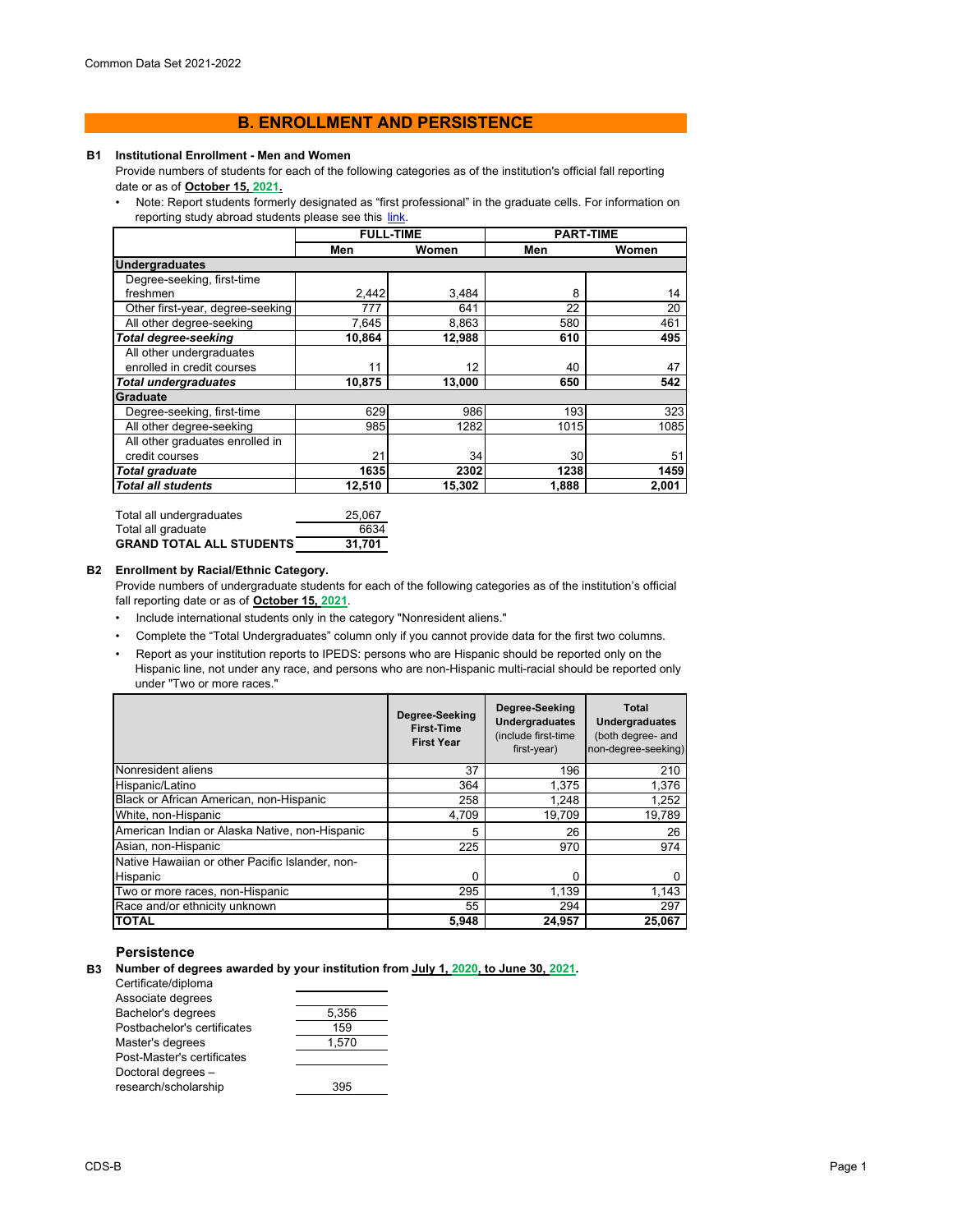# **B. ENROLLMENT AND PERSISTENCE**

#### **B1 Institutional Enrollment - Men and Women**

Provide numbers of students for each of the following categories as of the institution's official fall reporting date or as of **October 15, 2021.**

• Note: Report students formerly designated as "first professional" in the graduate cells. For information on reporting study abroad students please see this link.

|                                  | <b>FULL-TIME</b> |        |       | <b>PART-TIME</b> |
|----------------------------------|------------------|--------|-------|------------------|
|                                  | Men              | Women  | Men   | Women            |
| <b>Undergraduates</b>            |                  |        |       |                  |
| Degree-seeking, first-time       |                  |        |       |                  |
| freshmen                         | 2,442            | 3,484  | 8     | 14               |
| Other first-year, degree-seeking | 777              | 641    | 22    | 20               |
| All other degree-seeking         | 7,645            | 8,863  | 580   | 461              |
| <b>Total degree-seeking</b>      | 10,864           | 12,988 | 610   | 495              |
| All other undergraduates         |                  |        |       |                  |
| enrolled in credit courses       | 11               | 12     | 40    | 47               |
| <b>Total undergraduates</b>      | 10,875           | 13,000 | 650   | 542              |
| Graduate                         |                  |        |       |                  |
| Degree-seeking, first-time       | 629              | 986    | 193   | 323              |
| All other degree-seeking         | 985              | 1282   | 1015  | 1085             |
| All other graduates enrolled in  |                  |        |       |                  |
| credit courses                   | 21               | 34     | 30    | 51               |
| Total graduate                   | 1635             | 2302   | 1238  | 1459             |
| <i>Total all students</i>        | 12.510           | 15,302 | 1,888 | 2.001            |
|                                  |                  |        |       |                  |

| Total all undergraduates | 25.067 |
|--------------------------|--------|
| Total all graduate       | 6634   |
| GRAND TOTAL ALL STUDENTS | 31.701 |

## **B2 Enrollment by Racial/Ethnic Category.**

Provide numbers of undergraduate students for each of the following categories as of the institution's official fall reporting date or as of **October 15, 2021**.

- Include international students only in the category "Nonresident aliens."
- Complete the "Total Undergraduates" column only if you cannot provide data for the first two columns.
- Report as your institution reports to IPEDS: persons who are Hispanic should be reported only on the Hispanic line, not under any race, and persons who are non-Hispanic multi-racial should be reported only under "Two or more races."

|                                                 | Degree-Seeking<br><b>First-Time</b><br><b>First Year</b> | Degree-Seeking<br><b>Undergraduates</b><br>(include first-time<br>first-year) | Total<br><b>Undergraduates</b><br>(both degree- and<br>non-degree-seeking) |
|-------------------------------------------------|----------------------------------------------------------|-------------------------------------------------------------------------------|----------------------------------------------------------------------------|
| Nonresident aliens                              | 37                                                       | 196                                                                           | 210                                                                        |
| Hispanic/Latino                                 | 364                                                      | 1,375                                                                         | 1,376                                                                      |
| Black or African American, non-Hispanic         | 258                                                      | 1.248                                                                         | 1,252                                                                      |
| White, non-Hispanic                             | 4,709                                                    | 19,709                                                                        | 19,789                                                                     |
| American Indian or Alaska Native, non-Hispanic  | 5                                                        | 26                                                                            | 26                                                                         |
| Asian, non-Hispanic                             | 225                                                      | 970                                                                           | 974                                                                        |
| Native Hawaiian or other Pacific Islander, non- |                                                          |                                                                               |                                                                            |
| Hispanic                                        | 0                                                        | 0                                                                             |                                                                            |
| Two or more races, non-Hispanic                 | 295                                                      | 1,139                                                                         | 1,143                                                                      |
| Race and/or ethnicity unknown                   | 55                                                       | 294                                                                           | 297                                                                        |
| <b>TOTAL</b>                                    | 5.948                                                    | 24.957                                                                        | 25.067                                                                     |

## **Persistence**

**B3 Number of degrees awarded by your institution from July 1, 2020, to June 30, 2021.**

Certificate/diploma

| Associate degrees           |       |
|-----------------------------|-------|
| Bachelor's degrees          | 5,356 |
| Postbachelor's certificates | 159   |
| Master's degrees            | 1.570 |
| Post-Master's certificates  |       |
| Doctoral degrees -          |       |
| research/scholarship        | 395   |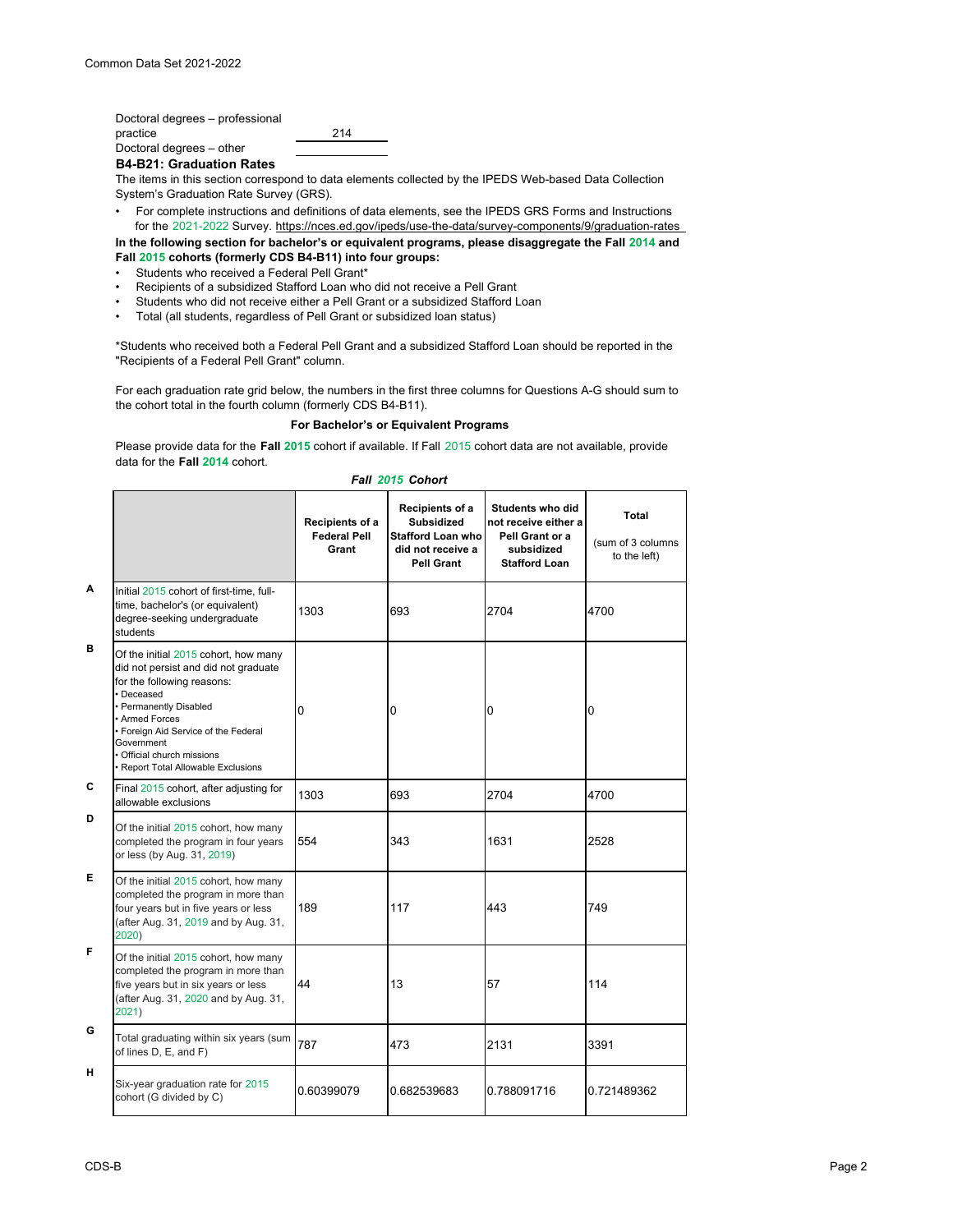Doctoral degrees – professional practice 214 Doctoral degrees – other

**B4-B21: Graduation Rates**

The items in this section correspond to data elements collected by the IPEDS Web-based Data Collection System's Graduation Rate Survey (GRS).

- For complete instructions and definitions of data elements, see the IPEDS GRS Forms and Instructions for the 2021-2022 Survey. https://nces.ed.gov/ipeds/use-the-data/survey-components/9/graduation-rates
- **In the following section for bachelor's or equivalent programs, please disaggregate the Fall 2014 and Fall 2015 cohorts (formerly CDS B4-B11) into four groups:**
- Students who received a Federal Pell Grant\*
- Recipients of a subsidized Stafford Loan who did not receive a Pell Grant
- Students who did not receive either a Pell Grant or a subsidized Stafford Loan
- Total (all students, regardless of Pell Grant or subsidized loan status)

\*Students who received both a Federal Pell Grant and a subsidized Stafford Loan should be reported in the "Recipients of a Federal Pell Grant" column.

For each graduation rate grid below, the numbers in the first three columns for Questions A-G should sum to the cohort total in the fourth column (formerly CDS B4-B11).

## **For Bachelor's or Equivalent Programs**

Please provide data for the **Fall 2015** cohort if available. If Fall 2015 cohort data are not available, provide data for the **Fall 2014** cohort.

## *Fall 2015 Cohort*

|   |                                                                                                                                                                                                                                                                                                 | Recipients of a<br><b>Federal Pell</b><br>Grant | Recipients of a<br>Subsidized<br><b>Stafford Loan who</b><br>did not receive a<br>Pell Grant | <b>Students who did</b><br>not receive either a<br>Pell Grant or a<br>subsidized<br><b>Stafford Loan</b> | Total<br>(sum of 3 columns<br>to the left) |
|---|-------------------------------------------------------------------------------------------------------------------------------------------------------------------------------------------------------------------------------------------------------------------------------------------------|-------------------------------------------------|----------------------------------------------------------------------------------------------|----------------------------------------------------------------------------------------------------------|--------------------------------------------|
| A | Initial 2015 cohort of first-time, full-<br>time, bachelor's (or equivalent)<br>degree-seeking undergraduate<br>students                                                                                                                                                                        | 1303                                            | 693                                                                                          | 2704                                                                                                     | 4700                                       |
| в | Of the initial 2015 cohort, how many<br>did not persist and did not graduate<br>for the following reasons:<br>• Deceased<br>• Permanently Disabled<br>· Armed Forces<br>· Foreign Aid Service of the Federal<br>Government<br>• Official church missions<br>• Report Total Allowable Exclusions | 0                                               | 0                                                                                            | 0                                                                                                        | 0                                          |
| C | Final 2015 cohort, after adjusting for<br>allowable exclusions                                                                                                                                                                                                                                  | 1303                                            | 693                                                                                          | 2704                                                                                                     | 4700                                       |
| D | Of the initial 2015 cohort, how many<br>completed the program in four years<br>or less (by Aug. 31, 2019)                                                                                                                                                                                       | 554                                             | 343                                                                                          | 1631                                                                                                     | 2528                                       |
| Е | Of the initial 2015 cohort, how many<br>completed the program in more than<br>four years but in five years or less<br>(after Aug. 31, 2019 and by Aug. 31,<br>2020)                                                                                                                             | 189                                             | 117                                                                                          | 443                                                                                                      | 749                                        |
| F | Of the initial 2015 cohort, how many<br>completed the program in more than<br>five years but in six years or less<br>(after Aug. 31, 2020 and by Aug. 31,<br>2021)                                                                                                                              | 44                                              | 13                                                                                           | 57                                                                                                       | 114                                        |
| G | Total graduating within six years (sum<br>of lines D, E, and F)                                                                                                                                                                                                                                 | 787                                             | 473                                                                                          | 2131                                                                                                     | 3391                                       |
| н | Six-year graduation rate for 2015<br>cohort (G divided by C)                                                                                                                                                                                                                                    | 0.60399079                                      | 0.682539683                                                                                  | 0.788091716                                                                                              | 0.721489362                                |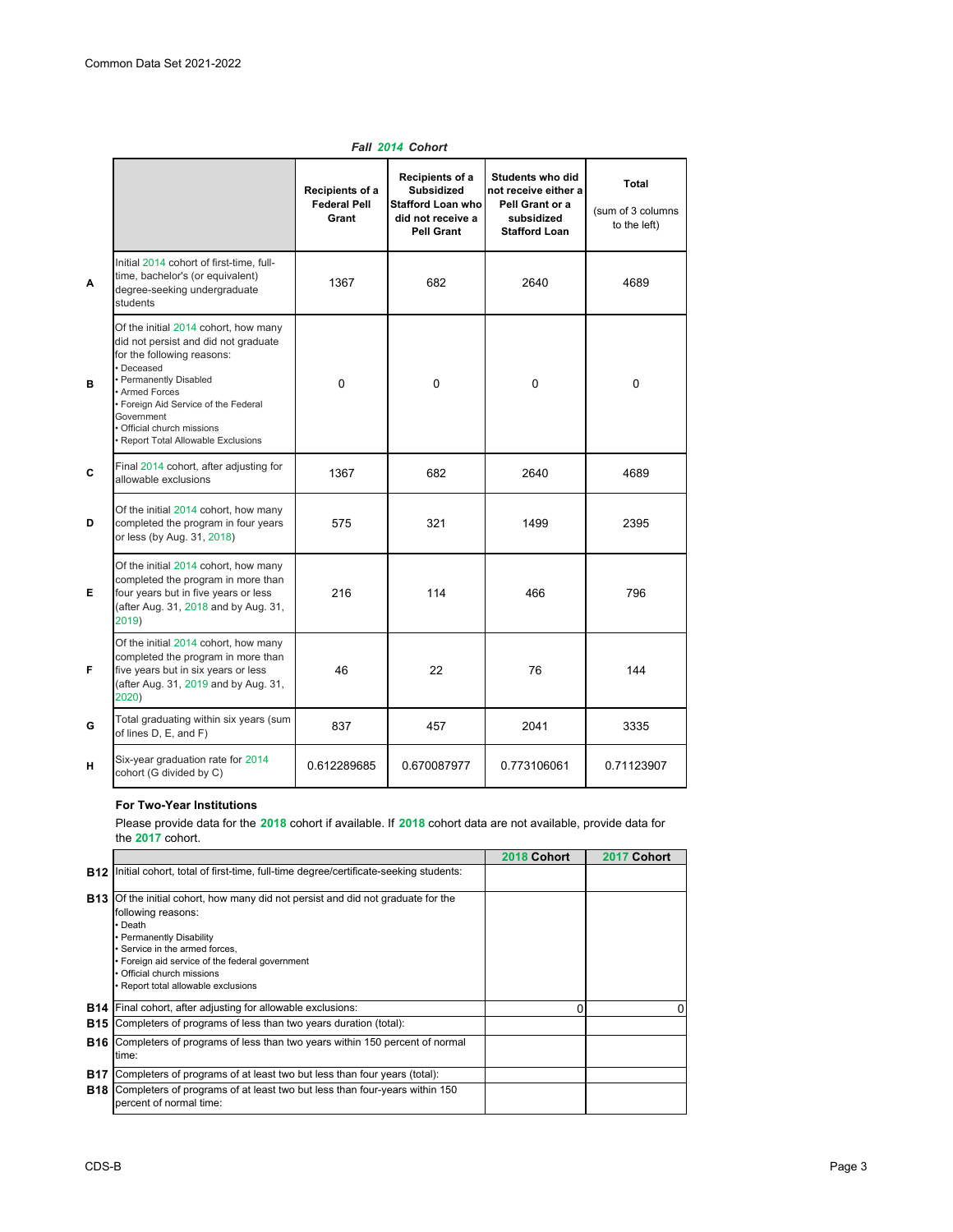|   | Fall 2014 Cohort                                                                                                                                                                                                                                                                                     |                                                 |                                                                                                     |                                                                                                   |                                                   |
|---|------------------------------------------------------------------------------------------------------------------------------------------------------------------------------------------------------------------------------------------------------------------------------------------------------|-------------------------------------------------|-----------------------------------------------------------------------------------------------------|---------------------------------------------------------------------------------------------------|---------------------------------------------------|
|   |                                                                                                                                                                                                                                                                                                      | Recipients of a<br><b>Federal Pell</b><br>Grant | Recipients of a<br><b>Subsidized</b><br><b>Stafford Loan who</b><br>did not receive a<br>Pell Grant | Students who did<br>not receive either a<br>Pell Grant or a<br>subsidized<br><b>Stafford Loan</b> | <b>Total</b><br>(sum of 3 columns<br>to the left) |
| Α | Initial 2014 cohort of first-time, full-<br>time, bachelor's (or equivalent)<br>degree-seeking undergraduate<br>students                                                                                                                                                                             | 1367                                            | 682                                                                                                 | 2640                                                                                              | 4689                                              |
| в | Of the initial 2014 cohort, how many<br>did not persist and did not graduate<br>for the following reasons:<br>· Deceased<br>· Permanently Disabled<br><b>Armed Forces</b><br>• Foreign Aid Service of the Federal<br>Government<br>· Official church missions<br>· Report Total Allowable Exclusions | $\Omega$                                        | $\mathbf{0}$                                                                                        | 0                                                                                                 | $\mathbf{0}$                                      |
| C | Final 2014 cohort, after adjusting for<br>allowable exclusions                                                                                                                                                                                                                                       | 1367                                            | 682                                                                                                 | 2640                                                                                              | 4689                                              |
| D | Of the initial 2014 cohort, how many<br>completed the program in four years<br>or less (by Aug. 31, 2018)                                                                                                                                                                                            | 575                                             | 321                                                                                                 | 1499                                                                                              | 2395                                              |
| Е | Of the initial 2014 cohort, how many<br>completed the program in more than<br>four years but in five years or less<br>(after Aug. 31, 2018 and by Aug. 31,<br>2019)                                                                                                                                  | 216                                             | 114                                                                                                 | 466                                                                                               | 796                                               |
| F | Of the initial 2014 cohort, how many<br>completed the program in more than<br>five years but in six years or less<br>(after Aug. 31, 2019 and by Aug. 31,<br>2020)                                                                                                                                   | 46                                              | 22                                                                                                  | 76                                                                                                | 144                                               |
| G | Total graduating within six years (sum<br>of lines D, E, and F)                                                                                                                                                                                                                                      | 837                                             | 457                                                                                                 | 2041                                                                                              | 3335                                              |
| н | Six-year graduation rate for 2014<br>cohort (G divided by C)                                                                                                                                                                                                                                         | 0.612289685                                     | 0.670087977                                                                                         | 0.773106061                                                                                       | 0.71123907                                        |

# **For Two-Year Institutions**

Please provide data for the **2018** cohort if available. If **2018** cohort data are not available, provide data for the **2017** cohort.

|            |                                                                                                                                                                                                                                                                                                                | 2018 Cohort | 2017 Cohort |
|------------|----------------------------------------------------------------------------------------------------------------------------------------------------------------------------------------------------------------------------------------------------------------------------------------------------------------|-------------|-------------|
|            | <b>B12</b> Initial cohort, total of first-time, full-time degree/certificate-seeking students:                                                                                                                                                                                                                 |             |             |
|            | <b>B13</b> Of the initial cohort, how many did not persist and did not graduate for the<br>following reasons:<br>• Death<br>• Permanently Disability<br>• Service in the armed forces.<br>• Foreign aid service of the federal government<br>• Official church missions<br>• Report total allowable exclusions |             |             |
| <b>B14</b> | Final cohort, after adjusting for allowable exclusions:                                                                                                                                                                                                                                                        | 0           | 0           |
| <b>B15</b> | Completers of programs of less than two years duration (total):                                                                                                                                                                                                                                                |             |             |
|            | <b>B16</b> Completers of programs of less than two years within 150 percent of normal<br>time:                                                                                                                                                                                                                 |             |             |
| <b>B17</b> | Completers of programs of at least two but less than four years (total):                                                                                                                                                                                                                                       |             |             |
|            | <b>B18</b> Completers of programs of at least two but less than four-years within 150<br>percent of normal time:                                                                                                                                                                                               |             |             |
|            |                                                                                                                                                                                                                                                                                                                |             |             |